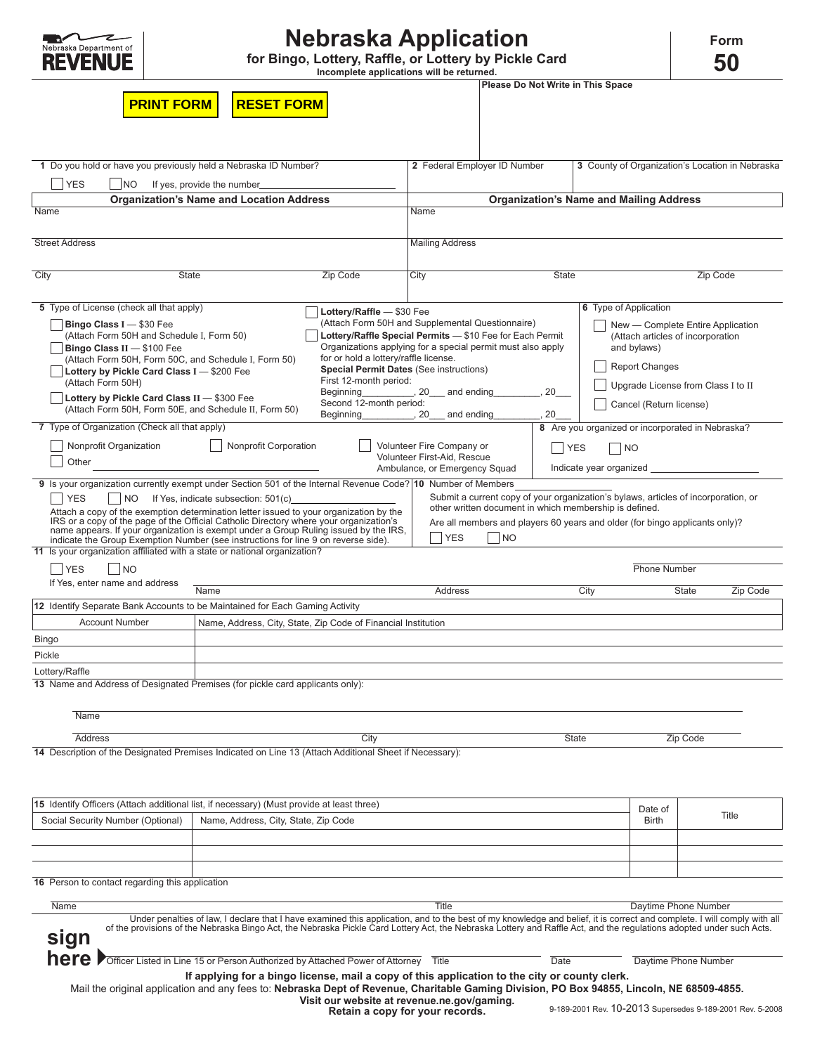

# **Nebraska Application**

**Incomplete applications will be returned. 50 for Bingo, Lottery, Raffle, or Lottery by Pickle Card**

| orm |  |
|-----|--|
|     |  |

|                                                                                                                                                                                  |                                                                                                                                                                         | Incomplete applications will be returned.                                                            |                                                              |                                   |              |                       |                                                                             |                                                                                    |
|----------------------------------------------------------------------------------------------------------------------------------------------------------------------------------|-------------------------------------------------------------------------------------------------------------------------------------------------------------------------|------------------------------------------------------------------------------------------------------|--------------------------------------------------------------|-----------------------------------|--------------|-----------------------|-----------------------------------------------------------------------------|------------------------------------------------------------------------------------|
| <b>PRINT FORM</b>                                                                                                                                                                | <b>RESET FORM</b>                                                                                                                                                       |                                                                                                      |                                                              | Please Do Not Write in This Space |              |                       |                                                                             |                                                                                    |
|                                                                                                                                                                                  |                                                                                                                                                                         |                                                                                                      |                                                              |                                   |              |                       |                                                                             |                                                                                    |
|                                                                                                                                                                                  |                                                                                                                                                                         |                                                                                                      |                                                              |                                   |              |                       |                                                                             |                                                                                    |
| 1 Do you hold or have you previously held a Nebraska ID Number?                                                                                                                  |                                                                                                                                                                         |                                                                                                      | 2 Federal Employer ID Number                                 |                                   |              |                       |                                                                             | 3 County of Organization's Location in Nebraska                                    |
| <b>YES</b><br>NO <sub>1</sub>                                                                                                                                                    | If yes, provide the number                                                                                                                                              |                                                                                                      |                                                              |                                   |              |                       |                                                                             |                                                                                    |
| <b>Organization's Name and Location Address</b><br>Name                                                                                                                          | <b>Organization's Name and Mailing Address</b><br>Name                                                                                                                  |                                                                                                      |                                                              |                                   |              |                       |                                                                             |                                                                                    |
|                                                                                                                                                                                  |                                                                                                                                                                         |                                                                                                      |                                                              |                                   |              |                       |                                                                             |                                                                                    |
| <b>Street Address</b>                                                                                                                                                            |                                                                                                                                                                         |                                                                                                      | <b>Mailing Address</b>                                       |                                   |              |                       |                                                                             |                                                                                    |
| City<br><b>State</b>                                                                                                                                                             |                                                                                                                                                                         | Zip Code                                                                                             | City                                                         |                                   | <b>State</b> |                       |                                                                             | Zip Code                                                                           |
| 5 Type of License (check all that apply)                                                                                                                                         |                                                                                                                                                                         |                                                                                                      |                                                              |                                   |              | 6 Type of Application |                                                                             |                                                                                    |
| <b>Bingo Class I</b> $-$ \$30 Fee                                                                                                                                                |                                                                                                                                                                         | Lottery/Raffle - \$30 Fee<br>(Attach Form 50H and Supplemental Questionnaire)                        |                                                              |                                   |              |                       |                                                                             | New - Complete Entire Application                                                  |
| (Attach Form 50H and Schedule I, Form 50)                                                                                                                                        |                                                                                                                                                                         | Lottery/Raffle Special Permits - \$10 Fee for Each Permit                                            |                                                              |                                   |              |                       | (Attach articles of incorporation                                           |                                                                                    |
| Bingo Class $II - $100$ Fee<br>(Attach Form 50H, Form 50C, and Schedule I, Form 50)                                                                                              |                                                                                                                                                                         | Organizations applying for a special permit must also apply<br>for or hold a lottery/raffle license. |                                                              |                                   |              |                       | and bylaws)                                                                 |                                                                                    |
| Lottery by Pickle Card Class I - \$200 Fee                                                                                                                                       |                                                                                                                                                                         | <b>Special Permit Dates (See instructions)</b>                                                       |                                                              |                                   |              |                       | <b>Report Changes</b>                                                       |                                                                                    |
| (Attach Form 50H)<br>Lottery by Pickle Card Class II - \$300 Fee                                                                                                                 |                                                                                                                                                                         | First 12-month period:<br>Beginning                                                                  | $, 20$ and ending                                            |                                   | 20           |                       | Upgrade License from Class I to II                                          |                                                                                    |
| (Attach Form 50H, Form 50E, and Schedule II, Form 50)                                                                                                                            |                                                                                                                                                                         | Second 12-month period:<br>Beginning                                                                 | 20<br>and ending                                             |                                   | 20           |                       | Cancel (Return license)                                                     |                                                                                    |
| 7 Type of Organization (Check all that apply)                                                                                                                                    |                                                                                                                                                                         |                                                                                                      |                                                              |                                   |              |                       | 8 Are you organized or incorporated in Nebraska?                            |                                                                                    |
| Nonprofit Organization                                                                                                                                                           | Nonprofit Corporation                                                                                                                                                   |                                                                                                      | Volunteer Fire Company or                                    |                                   | <b>YES</b>   | NO                    |                                                                             |                                                                                    |
| Other                                                                                                                                                                            |                                                                                                                                                                         |                                                                                                      | Volunteer First-Aid, Rescue<br>Ambulance, or Emergency Squad |                                   |              |                       | Indicate year organized                                                     |                                                                                    |
| 9 Is your organization currently exempt under Section 501 of the Internal Revenue Code?   10 Number of Members                                                                   |                                                                                                                                                                         |                                                                                                      |                                                              |                                   |              |                       |                                                                             |                                                                                    |
| <b>YES</b>                                                                                                                                                                       | NO If Yes, indicate subsection: 501(c)                                                                                                                                  |                                                                                                      |                                                              |                                   |              |                       |                                                                             | Submit a current copy of your organization's bylaws, articles of incorporation, or |
| Attach a copy of the exemption determination letter issued to your organization by the<br>IRS or a copy of the page of the Official Catholic Directory where your organization's |                                                                                                                                                                         |                                                                                                      | other written document in which membership is defined.       |                                   |              |                       |                                                                             |                                                                                    |
| name appears. If your organization is exempt under a Group Ruling issued by the IRS.<br>indicate the Group Exemption Number (see instructions for line 9 on reverse side).       |                                                                                                                                                                         |                                                                                                      | <b>YES</b>                                                   | <b>NO</b>                         |              |                       | Are all members and players 60 years and older (for bingo applicants only)? |                                                                                    |
| 11 Is your organization affiliated with a state or national organization?                                                                                                        |                                                                                                                                                                         |                                                                                                      |                                                              |                                   |              |                       |                                                                             |                                                                                    |
| <b>YES</b><br><b>INO</b>                                                                                                                                                         |                                                                                                                                                                         |                                                                                                      |                                                              |                                   |              |                       | <b>Phone Number</b>                                                         |                                                                                    |
| If Yes, enter name and address                                                                                                                                                   | Name                                                                                                                                                                    |                                                                                                      | Address                                                      |                                   |              | City                  | <b>State</b>                                                                | Zip Code                                                                           |
| 12 Identify Separate Bank Accounts to be Maintained for Each Gaming Activity                                                                                                     |                                                                                                                                                                         |                                                                                                      |                                                              |                                   |              |                       |                                                                             |                                                                                    |
| <b>Account Number</b>                                                                                                                                                            | Name, Address, City, State, Zip Code of Financial Institution                                                                                                           |                                                                                                      |                                                              |                                   |              |                       |                                                                             |                                                                                    |
| Bingo                                                                                                                                                                            |                                                                                                                                                                         |                                                                                                      |                                                              |                                   |              |                       |                                                                             |                                                                                    |
| Pickle                                                                                                                                                                           |                                                                                                                                                                         |                                                                                                      |                                                              |                                   |              |                       |                                                                             |                                                                                    |
| Lottery/Raffle<br>13 Name and Address of Designated Premises (for pickle card applicants only):                                                                                  |                                                                                                                                                                         |                                                                                                      |                                                              |                                   |              |                       |                                                                             |                                                                                    |
|                                                                                                                                                                                  |                                                                                                                                                                         |                                                                                                      |                                                              |                                   |              |                       |                                                                             |                                                                                    |
| <b>Name</b>                                                                                                                                                                      |                                                                                                                                                                         |                                                                                                      |                                                              |                                   |              |                       |                                                                             |                                                                                    |
| <b>Address</b>                                                                                                                                                                   |                                                                                                                                                                         | City                                                                                                 |                                                              |                                   | <b>State</b> |                       | Zip Code                                                                    |                                                                                    |
| 14 Description of the Designated Premises Indicated on Line 13 (Attach Additional Sheet if Necessary):                                                                           |                                                                                                                                                                         |                                                                                                      |                                                              |                                   |              |                       |                                                                             |                                                                                    |
|                                                                                                                                                                                  |                                                                                                                                                                         |                                                                                                      |                                                              |                                   |              |                       |                                                                             |                                                                                    |
| 15 Identify Officers (Attach additional list, if necessary) (Must provide at least three)                                                                                        |                                                                                                                                                                         |                                                                                                      |                                                              |                                   |              |                       | Date of                                                                     |                                                                                    |
| Social Security Number (Optional)                                                                                                                                                | Name, Address, City, State, Zip Code                                                                                                                                    |                                                                                                      |                                                              |                                   |              |                       | <b>Birth</b>                                                                | Title                                                                              |
|                                                                                                                                                                                  |                                                                                                                                                                         |                                                                                                      |                                                              |                                   |              |                       |                                                                             |                                                                                    |
| 16 Person to contact regarding this application                                                                                                                                  |                                                                                                                                                                         |                                                                                                      |                                                              |                                   |              |                       |                                                                             |                                                                                    |
|                                                                                                                                                                                  |                                                                                                                                                                         |                                                                                                      |                                                              |                                   |              |                       |                                                                             |                                                                                    |
| Name                                                                                                                                                                             | Under penalties of law, I declare that I have examined this application, and to the best of my knowledge and belief, it is correct and complete. I will comply with all |                                                                                                      | Title                                                        |                                   |              |                       | Daytime Phone Number                                                        |                                                                                    |
| sign                                                                                                                                                                             | of the provisions of the Nebraska Bingo Act, the Nebraska Pickle Card Lottery Act, the Nebraska Lottery and Raffle Act, and the regulations adopted under such Acts.    |                                                                                                      |                                                              |                                   |              |                       |                                                                             |                                                                                    |
| <b>here</b> Officer Listed in Line 15 or Person Authorized by Attached Power of Attorney Title                                                                                   |                                                                                                                                                                         |                                                                                                      |                                                              |                                   | <b>Date</b>  |                       | Daytime Phone Number                                                        |                                                                                    |
|                                                                                                                                                                                  | If applying for a bingo license, mail a copy of this application to the city or county clerk.                                                                           |                                                                                                      |                                                              |                                   |              |                       |                                                                             |                                                                                    |
|                                                                                                                                                                                  | Mail the original application and any fees to: Nebraska Dept of Revenue, Charitable Gaming Division, PO Box 94855, Lincoln, NE 68509-4855.                              | Visit our website at revenue.ne.gov/gaming.                                                          |                                                              |                                   |              |                       |                                                                             |                                                                                    |
|                                                                                                                                                                                  |                                                                                                                                                                         |                                                                                                      | Retain a copy for your records.                              |                                   |              |                       |                                                                             | 9-189-2001 Rev. 10-2013 Supersedes 9-189-2001 Rev. 5-2008                          |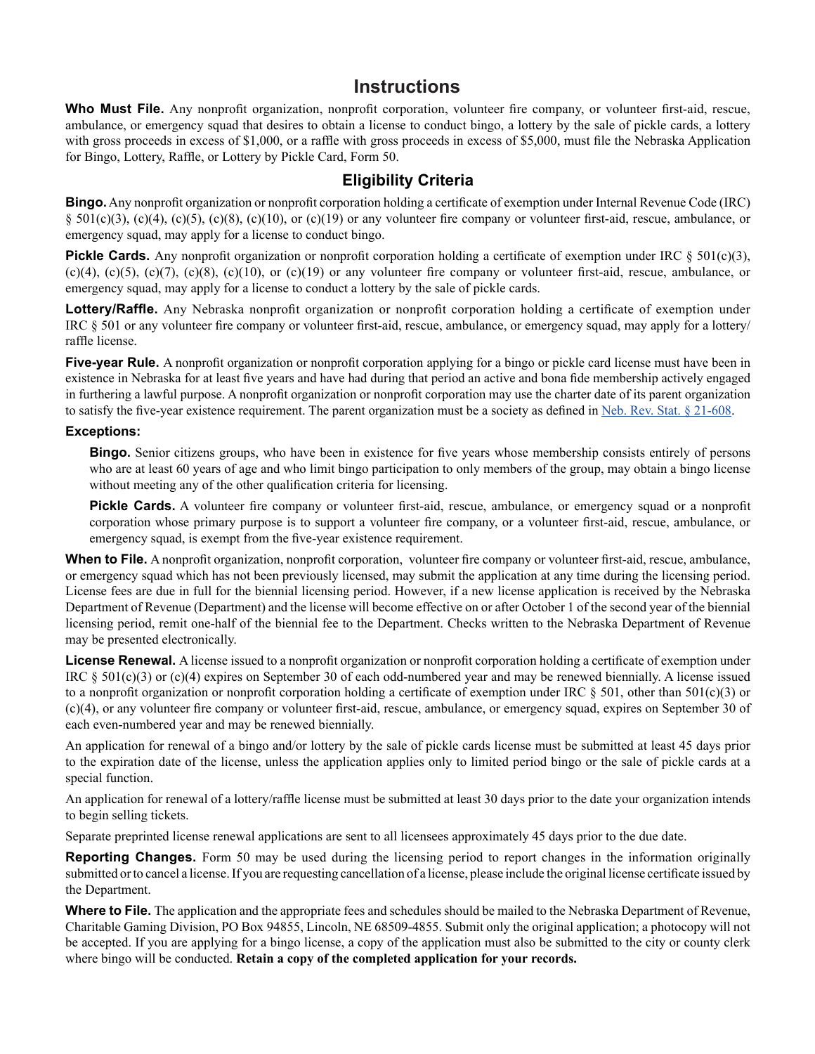## **Instructions**

Who Must File. Any nonprofit organization, nonprofit corporation, volunteer fire company, or volunteer first-aid, rescue, ambulance, or emergency squad that desires to obtain a license to conduct bingo, a lottery by the sale of pickle cards, a lottery with gross proceeds in excess of \$1,000, or a raffle with gross proceeds in excess of \$5,000, must file the Nebraska Application for Bingo, Lottery, Raffle, or Lottery by Pickle Card, Form 50.

### **Eligibility Criteria**

**Bingo.** Any nonprofit organization or nonprofit corporation holding a certificate of exemption under Internal Revenue Code (IRC) §  $501(c)(3)$ , (c)(4), (c)(5), (c)(8), (c)(10), or (c)(19) or any volunteer fire company or volunteer first-aid, rescue, ambulance, or emergency squad, may apply for a license to conduct bingo.

**Pickle Cards.** Any nonprofit organization or nonprofit corporation holding a certificate of exemption under IRC § 501(c)(3),  $(c)(4)$ ,  $(c)(5)$ ,  $(c)(7)$ ,  $(c)(8)$ ,  $(c)(10)$ , or  $(c)(19)$  or any volunteer fire company or volunteer first-aid, rescue, ambulance, or emergency squad, may apply for a license to conduct a lottery by the sale of pickle cards.

**Lottery/Raffle.** Any Nebraska nonprofit organization or nonprofit corporation holding a certificate of exemption under IRC § 501 or any volunteer fire company or volunteer first-aid, rescue, ambulance, or emergency squad, may apply for a lottery/ raffle license.

**Five-year Rule.** A nonprofit organization or nonprofit corporation applying for a bingo or pickle card license must have been in existence in Nebraska for at least five years and have had during that period an active and bona fide membership actively engaged in furthering a lawful purpose. A nonprofit organization or nonprofit corporation may use the charter date of its parent organization to satisfy the five-year existence requirement. The parent organization must be a society as defined in [Neb. Rev. Stat. § 21-608.](http://uniweb.legislature.ne.gov/laws/statutes.php?statute=21-608)

#### **Exceptions:**

**Bingo.** Senior citizens groups, who have been in existence for five years whose membership consists entirely of persons who are at least 60 years of age and who limit bingo participation to only members of the group, may obtain a bingo license without meeting any of the other qualification criteria for licensing.

**Pickle Cards.** A volunteer fire company or volunteer first-aid, rescue, ambulance, or emergency squad or a nonprofit corporation whose primary purpose is to support a volunteer fire company, or a volunteer first-aid, rescue, ambulance, or emergency squad, is exempt from the five-year existence requirement.

When to File. A nonprofit organization, nonprofit corporation, volunteer fire company or volunteer first-aid, rescue, ambulance, or emergency squad which has not been previously licensed, may submit the application at any time during the licensing period. License fees are due in full for the biennial licensing period. However, if a new license application is received by the Nebraska Department of Revenue (Department) and the license will become effective on or after October 1 of the second year of the biennial licensing period, remit one-half of the biennial fee to the Department. Checks written to the Nebraska Department of Revenue may be presented electronically.

**License Renewal.** A license issued to a nonprofit organization or nonprofit corporation holding a certificate of exemption under IRC  $\S$  501(c)(3) or (c)(4) expires on September 30 of each odd-numbered year and may be renewed biennially. A license issued to a nonprofit organization or nonprofit corporation holding a certificate of exemption under IRC  $\S$  501, other than 501(c)(3) or (c)(4), or any volunteer fire company or volunteer first-aid, rescue, ambulance, or emergency squad, expires on September 30 of each even-numbered year and may be renewed biennially.

An application for renewal of a bingo and/or lottery by the sale of pickle cards license must be submitted at least 45 days prior to the expiration date of the license, unless the application applies only to limited period bingo or the sale of pickle cards at a special function.

An application for renewal of a lottery/raffle license must be submitted at least 30 days prior to the date your organization intends to begin selling tickets.

Separate preprinted license renewal applications are sent to all licensees approximately 45 days prior to the due date.

**Reporting Changes.** Form 50 may be used during the licensing period to report changes in the information originally submitted or to cancel a license. If you are requesting cancellation of a license, please include the original license certificate issued by the Department.

**Where to File.** The application and the appropriate fees and schedules should be mailed to the Nebraska Department of Revenue, Charitable Gaming Division, PO Box 94855, Lincoln, NE 68509-4855. Submit only the original application; a photocopy will not be accepted. If you are applying for a bingo license, a copy of the application must also be submitted to the city or county clerk where bingo will be conducted. **Retain a copy of the completed application for your records.**